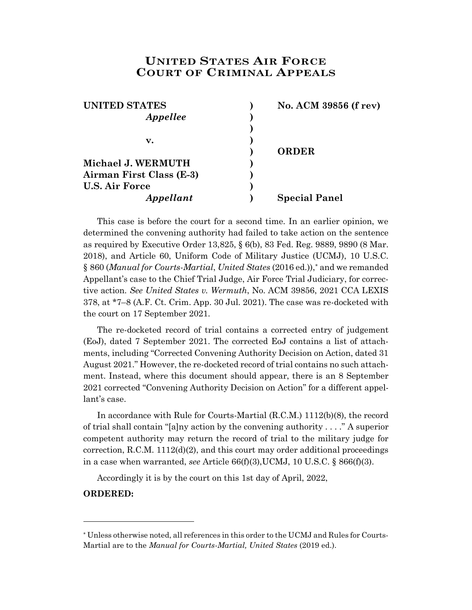## **UNITED STATES AIR FORCE COURT OF CRIMINAL APPEALS**

| <b>UNITED STATES</b>     | No. ACM 39856 (f rev) |
|--------------------------|-----------------------|
| Appellee                 |                       |
|                          |                       |
| v.                       |                       |
|                          | <b>ORDER</b>          |
| Michael J. WERMUTH       |                       |
| Airman First Class (E-3) |                       |
| <b>U.S. Air Force</b>    |                       |
| Appellant                | <b>Special Panel</b>  |

This case is before the court for a second time. In an earlier opinion, we determined the convening authority had failed to take action on the sentence as required by Executive Order 13,825, § 6(b), 83 Fed. Reg. 9889, 9890 (8 Mar. 2018), and Article 60, Uniform Code of Military Justice (UCMJ), 10 U.S.C. § 860 (*Manual for Courts-Martial*, *United States* (2016 ed.)),\* and we remanded Appellant's case to the Chief Trial Judge, Air Force Trial Judiciary, for corrective action. *See United States v. Wermuth*, No. ACM 39856, 2021 CCA LEXIS 378, at \*7–8 (A.F. Ct. Crim. App. 30 Jul. 2021). The case was re-docketed with the court on 17 September 2021.

The re-docketed record of trial contains a corrected entry of judgement (EoJ), dated 7 September 2021. The corrected EoJ contains a list of attachments, including "Corrected Convening Authority Decision on Action, dated 31 August 2021." However, the re-docketed record of trial contains no such attachment. Instead, where this document should appear, there is an 8 September 2021 corrected "Convening Authority Decision on Action" for a different appellant's case.

In accordance with Rule for Courts-Martial  $(R.C.M.)$  1112 $(b)(8)$ , the record of trial shall contain "[a]ny action by the convening authority . . . ." A superior competent authority may return the record of trial to the military judge for correction,  $R.C.M. 1112(d)(2)$ , and this court may order additional proceedings in a case when warranted, *see* Article 66(f)(3),UCMJ, 10 U.S.C. § 866(f)(3).

Accordingly it is by the court on this 1st day of April, 2022,

**ORDERED:**

l

<sup>\*</sup> Unless otherwise noted, all references in this order to the UCMJ and Rules for Courts-Martial are to the *Manual for Courts-Martial, United States* (2019 ed.).